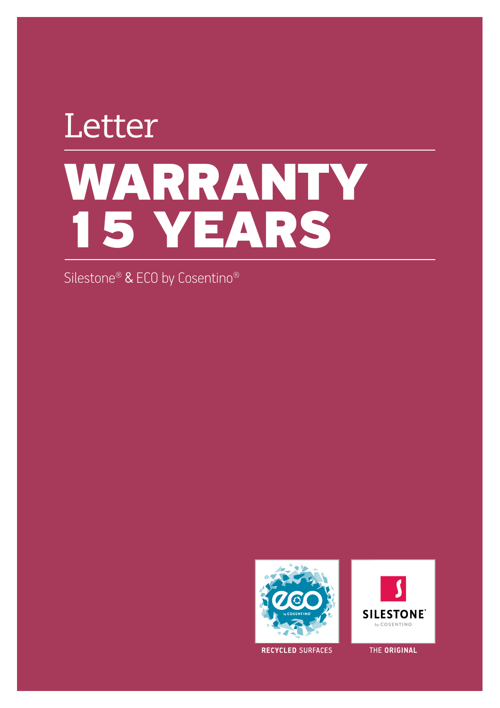# WARRANTY 15 YEARS Letter

Silestone® & ECO by Cosentino®

**RECYCLED SURFACES** 



THE **ORIGINAL**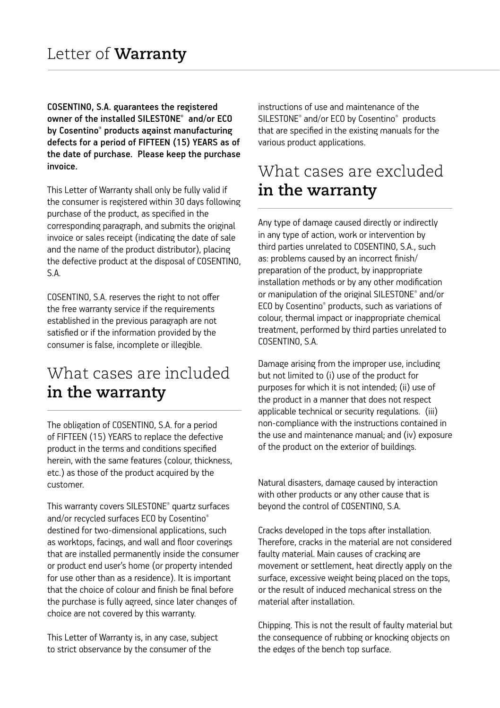COSENTINO, S.A. guarantees the registered owner of the installed SILESTONE® and/or ECO by Cosentino<sup>®</sup> products against manufacturing defects for a period of FIFTEEN (15) YEARS as of the date of purchase. Please keep the purchase invoice.

This Letter of Warranty shall only be fully valid if the consumer is registered within 30 days following purchase of the product, as specified in the corresponding paragraph, and submits the original invoice or sales receipt (indicating the date of sale and the name of the product distributor), placing the defective product at the disposal of COSENTINO, S.A.

COSENTINO, S.A. reserves the right to not offer the free warranty service if the requirements established in the previous paragraph are not satisfied or if the information provided by the consumer is false, incomplete or illegible.

# What cases are included **in the warranty**

The obligation of COSENTINO, S.A. for a period of FIFTEEN (15) YEARS to replace the defective product in the terms and conditions specified herein, with the same features (colour, thickness, etc.) as those of the product acquired by the customer.

This warranty covers SILESTONE® quartz surfaces and/or recycled surfaces ECO by Cosentino® destined for two-dimensional applications, such as worktops, facings, and wall and floor coverings that are installed permanently inside the consumer or product end user's home (or property intended for use other than as a residence). It is important that the choice of colour and finish be final before the purchase is fully agreed, since later changes of choice are not covered by this warranty.

This Letter of Warranty is, in any case, subject to strict observance by the consumer of the

instructions of use and maintenance of the SILESTONE® and/or ECO by Cosentino® products that are specified in the existing manuals for the various product applications.

# What cases are excluded **in the warranty**

Any type of damage caused directly or indirectly in any type of action, work or intervention by third parties unrelated to COSENTINO, S.A., such as: problems caused by an incorrect finish/ preparation of the product, by inappropriate installation methods or by any other modification or manipulation of the original SILESTONE® and/or ECO by Cosentino® products, such as variations of colour, thermal impact or inappropriate chemical treatment, performed by third parties unrelated to COSENTINO, S.A.

Damage arising from the improper use, including but not limited to (i) use of the product for purposes for which it is not intended; (ii) use of the product in a manner that does not respect applicable technical or security regulations. (iii) non-compliance with the instructions contained in the use and maintenance manual; and (iv) exposure of the product on the exterior of buildings.

Natural disasters, damage caused by interaction with other products or any other cause that is beyond the control of COSENTINO, S.A.

Cracks developed in the tops after installation. Therefore, cracks in the material are not considered faulty material. Main causes of cracking are movement or settlement, heat directly apply on the surface, excessive weight being placed on the tops, or the result of induced mechanical stress on the material after installation.

Chipping. This is not the result of faulty material but the consequence of rubbing or knocking objects on the edges of the bench top surface.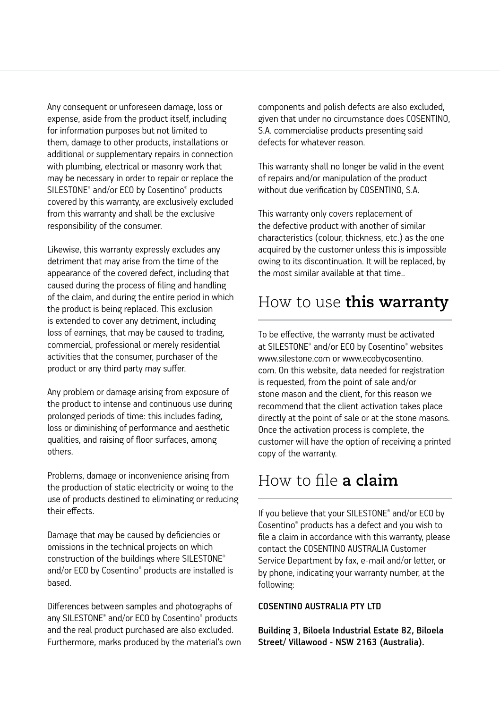Any consequent or unforeseen damage, loss or expense, aside from the product itself, including for information purposes but not limited to them, damage to other products, installations or additional or supplementary repairs in connection with plumbing, electrical or masonry work that may be necessary in order to repair or replace the SILESTONE® and/or ECO by Cosentino® products covered by this warranty, are exclusively excluded from this warranty and shall be the exclusive responsibility of the consumer.

Likewise, this warranty expressly excludes any detriment that may arise from the time of the appearance of the covered defect, including that caused during the process of filing and handling of the claim, and during the entire period in which the product is being replaced. This exclusion is extended to cover any detriment, including loss of earnings, that may be caused to trading, commercial, professional or merely residential activities that the consumer, purchaser of the product or any third party may suffer.

Any problem or damage arising from exposure of the product to intense and continuous use during prolonged periods of time: this includes fading, loss or diminishing of performance and aesthetic qualities, and raising of floor surfaces, among others.

Problems, damage or inconvenience arising from the production of static electricity or woing to the use of products destined to eliminating or reducing their effects.

Damage that may be caused by deficiencies or omissions in the technical projects on which construction of the buildings where SILESTONE® and/or ECO by Cosentino® products are installed is based.

Differences between samples and photographs of any SILESTONE® and/or ECO by Cosentino® products and the real product purchased are also excluded. Furthermore, marks produced by the material's own components and polish defects are also excluded, given that under no circumstance does COSENTINO, S.A. commercialise products presenting said defects for whatever reason.

This warranty shall no longer be valid in the event of repairs and/or manipulation of the product without due verification by COSENTINO, S.A.

This warranty only covers replacement of the defective product with another of similar characteristics (colour, thickness, etc.) as the one acquired by the customer unless this is impossible owing to its discontinuation. It will be replaced, by the most similar available at that time..

### How to use **this warranty**

To be effective, the warranty must be activated at SILESTONE® and/or ECO by Cosentino® websites www.silestone.com or www.ecobycosentino. com. On this website, data needed for registration is requested, from the point of sale and/or stone mason and the client, for this reason we recommend that the client activation takes place directly at the point of sale or at the stone masons. Once the activation process is complete, the customer will have the option of receiving a printed copy of the warranty.

# How to file **a claim**

If you believe that your SILESTONE® and/or ECO by Cosentino® products has a defect and you wish to file a claim in accordance with this warranty, please contact the COSENTINO AUSTRALIA Customer Service Department by fax, e-mail and/or letter, or by phone, indicating your warranty number, at the following:

#### COSENTINO AUSTRALIA PTY LTD

Building 3, Biloela Industrial Estate 82, Biloela Street/ Villawood - NSW 2163 (Australia).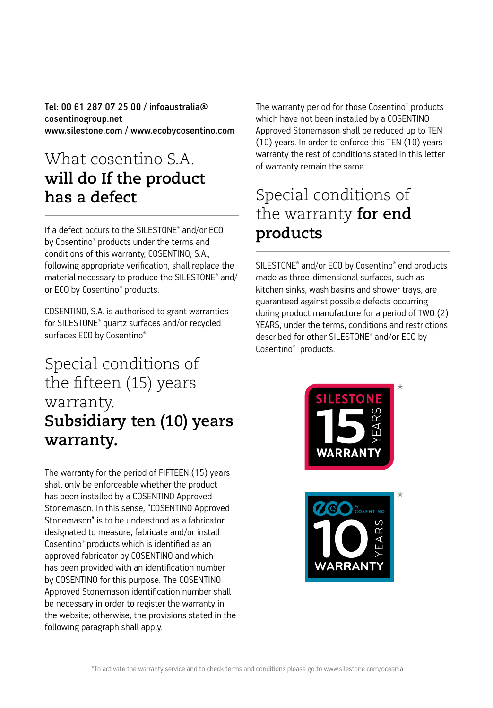Tel: 00 61 287 07 25 00 / infoaustralia@ cosentinogroup.net www.silestone.com / www.ecobycosentino.com

## What cosentino S A. **will do If the product has a defect**

If a defect occurs to the SILESTONE® and/or ECO by Cosentino® products under the terms and conditions of this warranty, COSENTINO, S.A., following appropriate verification, shall replace the material necessary to produce the SILESTONE® and/ or ECO by Cosentino® products.

COSENTINO, S.A. is authorised to grant warranties for SILESTONE® quartz surfaces and/or recycled surfaces ECO by Cosentino®.

# Special conditions of the fifteen (15) years warranty. **Subsidiary ten (10) years warranty.**

The warranty for the period of FIFTEEN (15) years shall only be enforceable whether the product has been installed by a COSENTINO Approved Stonemason. In this sense, "COSENTINO Approved Stonemason" is to be understood as a fabricator designated to measure, fabricate and/or install Cosentino® products which is identified as an approved fabricator by COSENTINO and which has been provided with an identification number by COSENTINO for this purpose. The COSENTINO Approved Stonemason identification number shall be necessary in order to register the warranty in the website; otherwise, the provisions stated in the following paragraph shall apply.

The warranty period for those Cosentino® products which have not been installed by a COSENTINO Approved Stonemason shall be reduced up to TEN (10) years. In order to enforce this TEN (10) years warranty the rest of conditions stated in this letter of warranty remain the same.

# Special conditions of the warranty **for end products**

SILESTONE® and/or ECO by Cosentino® end products made as three-dimensional surfaces, such as kitchen sinks, wash basins and shower trays, are guaranteed against possible defects occurring during product manufacture for a period of TWO (2) YEARS, under the terms, conditions and restrictions described for other SILESTONE® and/or ECO by Cosentino® products.



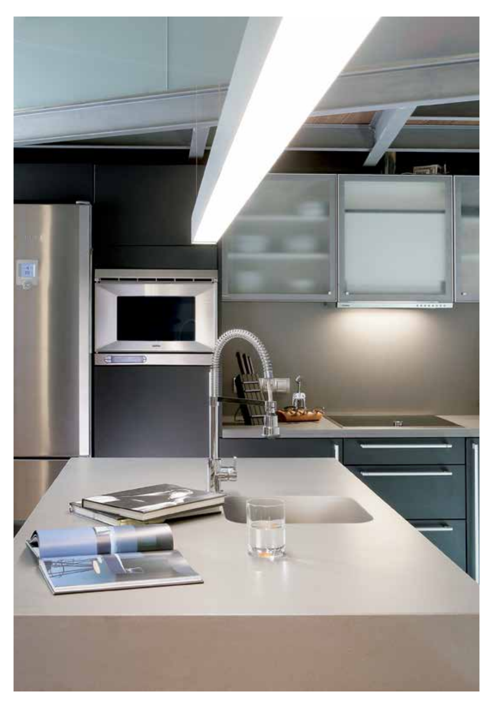